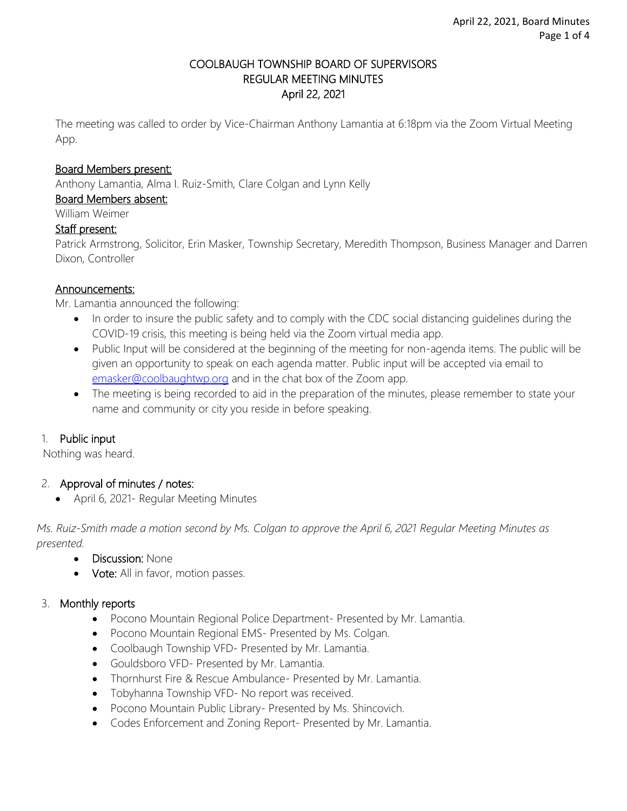### COOLBAUGH TOWNSHIP BOARD OF SUPERVISORS REGULAR MEETING MINUTES April 22, 2021

The meeting was called to order by Vice-Chairman Anthony Lamantia at 6:18pm via the Zoom Virtual Meeting App.

#### Board Members present:

Anthony Lamantia, Alma I. Ruiz-Smith, Clare Colgan and Lynn Kelly

Board Members absent:

William Weimer

#### Staff present:

Patrick Armstrong, Solicitor, Erin Masker, Township Secretary, Meredith Thompson, Business Manager and Darren Dixon, Controller

#### Announcements:

Mr. Lamantia announced the following:

- In order to insure the public safety and to comply with the CDC social distancing guidelines during the COVID-19 crisis, this meeting is being held via the Zoom virtual media app.
- Public Input will be considered at the beginning of the meeting for non-agenda items. The public will be given an opportunity to speak on each agenda matter. Public input will be accepted via email to [emasker@coolbaughtwp.org](mailto:emasker@coolbaughtwp.org) and in the chat box of the Zoom app.
- The meeting is being recorded to aid in the preparation of the minutes, please remember to state your name and community or city you reside in before speaking.

### 1. Public input

Nothing was heard.

### 2. Approval of minutes / notes:

April 6, 2021- Regular Meeting Minutes

*Ms. Ruiz-Smith made a motion second by Ms. Colgan to approve the April 6, 2021 Regular Meeting Minutes as presented.*

- Discussion: None
- Vote: All in favor, motion passes.

### 3. Monthly reports

- Pocono Mountain Regional Police Department- Presented by Mr. Lamantia.
- Pocono Mountain Regional EMS- Presented by Ms. Colgan.
- Coolbaugh Township VFD- Presented by Mr. Lamantia.
- Gouldsboro VFD- Presented by Mr. Lamantia.
- Thornhurst Fire & Rescue Ambulance- Presented by Mr. Lamantia.
- Tobyhanna Township VFD- No report was received.
- Pocono Mountain Public Library- Presented by Ms. Shincovich.
- Codes Enforcement and Zoning Report- Presented by Mr. Lamantia.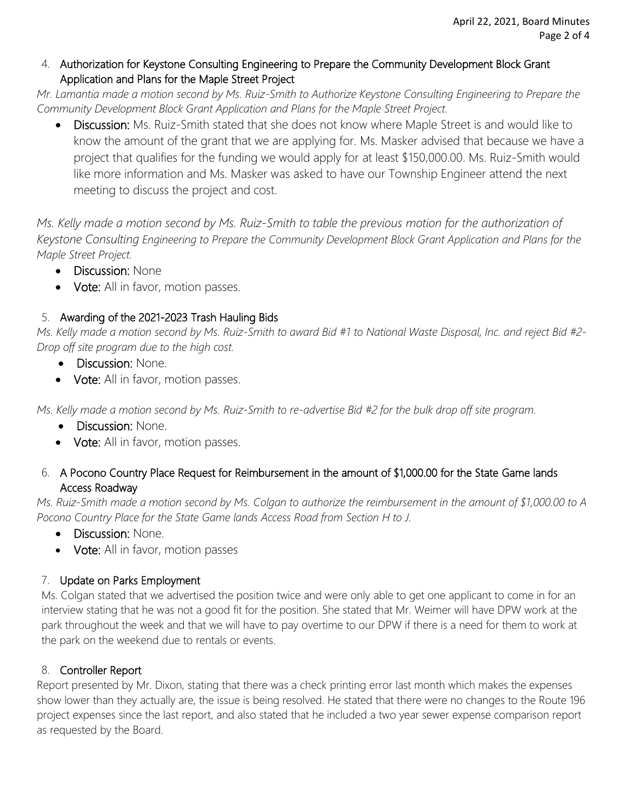### 4. Authorization for Keystone Consulting Engineering to Prepare the Community Development Block Grant Application and Plans for the Maple Street Project

*Mr. Lamantia made a motion second by Ms. Ruiz-Smith to Authorize Keystone Consulting Engineering to Prepare the Community Development Block Grant Application and Plans for the Maple Street Project.*

• Discussion: Ms. Ruiz-Smith stated that she does not know where Maple Street is and would like to know the amount of the grant that we are applying for. Ms. Masker advised that because we have a project that qualifies for the funding we would apply for at least \$150,000.00. Ms. Ruiz-Smith would like more information and Ms. Masker was asked to have our Township Engineer attend the next meeting to discuss the project and cost.

*Ms. Kelly made a motion second by Ms. Ruiz-Smith to table the previous motion for the authorization of Keystone Consulting Engineering to Prepare the Community Development Block Grant Application and Plans for the Maple Street Project.*

- Discussion: None
- Vote: All in favor, motion passes.

# 5. Awarding of the 2021-2023 Trash Hauling Bids

*Ms. Kelly made a motion second by Ms. Ruiz-Smith to award Bid #1 to National Waste Disposal, Inc. and reject Bid #2- Drop off site program due to the high cost.* 

- Discussion: None.
- Vote: All in favor, motion passes.

*Ms. Kelly made a motion second by Ms. Ruiz-Smith to re-advertise Bid #2 for the bulk drop off site program.*

- Discussion: None.
- Vote: All in favor, motion passes.

## 6. A Pocono Country Place Request for Reimbursement in the amount of \$1,000.00 for the State Game lands Access Roadway

*Ms. Ruiz-Smith made a motion second by Ms. Colgan to authorize the reimbursement in the amount of \$1,000.00 to A Pocono Country Place for the State Game lands Access Road from Section H to J.*

- Discussion: None.
- Vote: All in favor, motion passes

# 7. Update on Parks Employment

Ms. Colgan stated that we advertised the position twice and were only able to get one applicant to come in for an interview stating that he was not a good fit for the position. She stated that Mr. Weimer will have DPW work at the park throughout the week and that we will have to pay overtime to our DPW if there is a need for them to work at the park on the weekend due to rentals or events.

# 8. Controller Report

Report presented by Mr. Dixon, stating that there was a check printing error last month which makes the expenses show lower than they actually are, the issue is being resolved. He stated that there were no changes to the Route 196 project expenses since the last report, and also stated that he included a two year sewer expense comparison report as requested by the Board.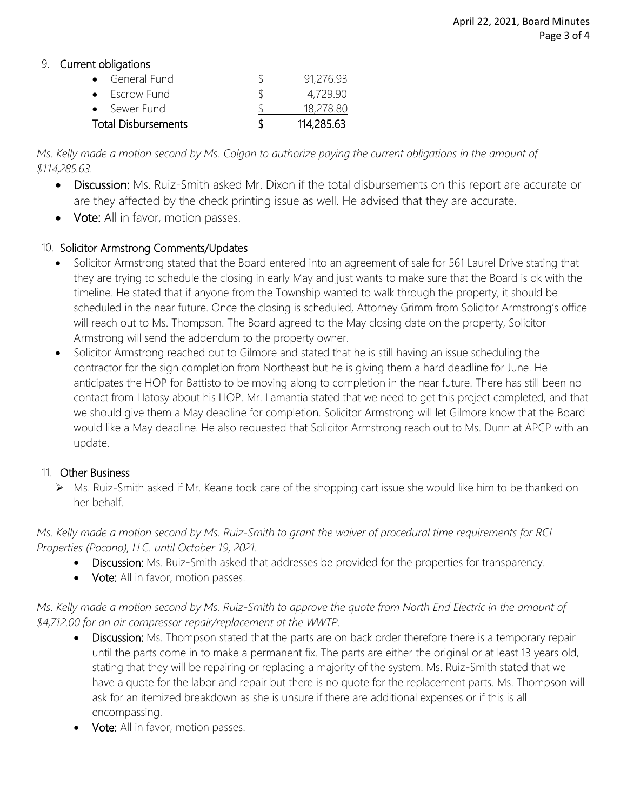### 9. Current obligations

| • General Fund             |   | 91,276.93  |
|----------------------------|---|------------|
| • Escrow Fund              |   | 4,729.90   |
| • Sewer Fund               |   | 18,278.80  |
| <b>Total Disbursements</b> | К | 114,285.63 |

*Ms. Kelly made a motion second by Ms. Colgan to authorize paying the current obligations in the amount of \$114,285.63.* 

- Discussion: Ms. Ruiz-Smith asked Mr. Dixon if the total disbursements on this report are accurate or are they affected by the check printing issue as well. He advised that they are accurate.
- Vote: All in favor, motion passes.

## 10. Solicitor Armstrong Comments/Updates

- Solicitor Armstrong stated that the Board entered into an agreement of sale for 561 Laurel Drive stating that they are trying to schedule the closing in early May and just wants to make sure that the Board is ok with the timeline. He stated that if anyone from the Township wanted to walk through the property, it should be scheduled in the near future. Once the closing is scheduled, Attorney Grimm from Solicitor Armstrong's office will reach out to Ms. Thompson. The Board agreed to the May closing date on the property, Solicitor Armstrong will send the addendum to the property owner.
- Solicitor Armstrong reached out to Gilmore and stated that he is still having an issue scheduling the contractor for the sign completion from Northeast but he is giving them a hard deadline for June. He anticipates the HOP for Battisto to be moving along to completion in the near future. There has still been no contact from Hatosy about his HOP. Mr. Lamantia stated that we need to get this project completed, and that we should give them a May deadline for completion. Solicitor Armstrong will let Gilmore know that the Board would like a May deadline. He also requested that Solicitor Armstrong reach out to Ms. Dunn at APCP with an update.

## 11. Other Business

▶ Ms. Ruiz-Smith asked if Mr. Keane took care of the shopping cart issue she would like him to be thanked on her behalf.

*Ms. Kelly made a motion second by Ms. Ruiz-Smith to grant the waiver of procedural time requirements for RCI Properties (Pocono), LLC. until October 19, 2021.* 

- Discussion: Ms. Ruiz-Smith asked that addresses be provided for the properties for transparency.
- Vote: All in favor, motion passes.

*Ms. Kelly made a motion second by Ms. Ruiz-Smith to approve the quote from North End Electric in the amount of \$4,712.00 for an air compressor repair/replacement at the WWTP.*

- Discussion: Ms. Thompson stated that the parts are on back order therefore there is a temporary repair until the parts come in to make a permanent fix. The parts are either the original or at least 13 years old, stating that they will be repairing or replacing a majority of the system. Ms. Ruiz-Smith stated that we have a quote for the labor and repair but there is no quote for the replacement parts. Ms. Thompson will ask for an itemized breakdown as she is unsure if there are additional expenses or if this is all encompassing.
- Vote: All in favor, motion passes.